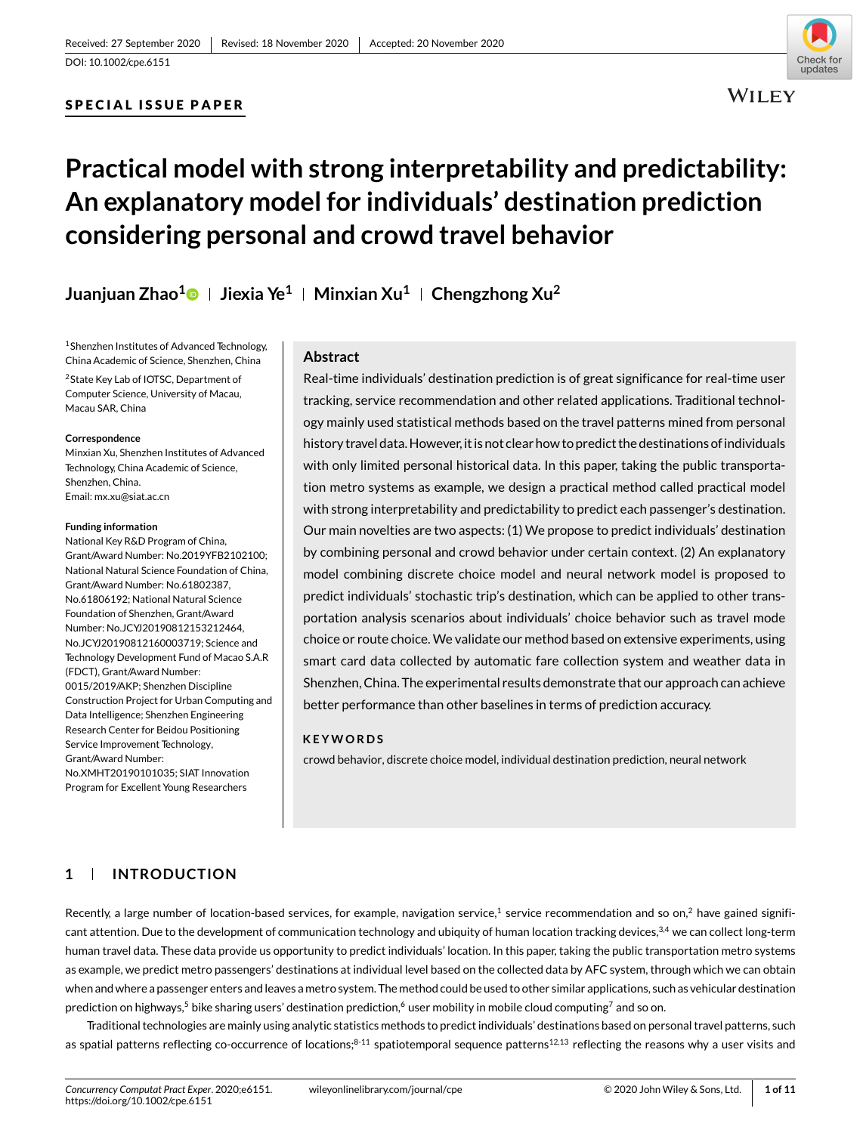## SPECIAL ISSUE PAPER



# **Practical model with strong interpretability and predictability: An explanatory model for individuals' destination prediction considering personal and crowd travel behavior**

**Juanjuan Zhao[1](https://orcid.org/0000-0003-1002-9272) Jiexia Ye1 Minxian Xu1 Chengzhong Xu2**

1Shenzhen Institutes of Advanced Technology, China Academic of Science, Shenzhen, China 2State Key Lab of IOTSC, Department of Computer Science, University of Macau, Macau SAR, China

#### **Correspondence**

Minxian Xu, Shenzhen Institutes of Advanced Technology, China Academic of Science, Shenzhen, China. Email: mx.xu@siat.ac.cn

#### **Funding information**

National Key R&D Program of China, Grant/Award Number: No.2019YFB2102100; National Natural Science Foundation of China, Grant/Award Number: No.61802387, No.61806192; National Natural Science Foundation of Shenzhen, Grant/Award Number: No.JCYJ20190812153212464, No.JCYJ20190812160003719; Science and Technology Development Fund of Macao S.A.R (FDCT), Grant/Award Number: 0015/2019/AKP; Shenzhen Discipline Construction Project for Urban Computing and Data Intelligence; Shenzhen Engineering Research Center for Beidou Positioning Service Improvement Technology, Grant/Award Number: No.XMHT20190101035; SIAT Innovation Program for Excellent Young Researchers

#### **Abstract**

Real-time individuals' destination prediction is of great significance for real-time user tracking, service recommendation and other related applications. Traditional technology mainly used statistical methods based on the travel patterns mined from personal history travel data. However, it is not clear how to predict the destinations of individuals with only limited personal historical data. In this paper, taking the public transportation metro systems as example, we design a practical method called practical model with strong interpretability and predictability to predict each passenger's destination. Our main novelties are two aspects: (1) We propose to predict individuals' destination by combining personal and crowd behavior under certain context. (2) An explanatory model combining discrete choice model and neural network model is proposed to predict individuals' stochastic trip's destination, which can be applied to other transportation analysis scenarios about individuals' choice behavior such as travel mode choice or route choice. We validate our method based on extensive experiments, using smart card data collected by automatic fare collection system and weather data in Shenzhen, China. The experimental results demonstrate that our approach can achieve better performance than other baselines in terms of prediction accuracy.

#### **KEYWORDS**

crowd behavior, discrete choice model, individual destination prediction, neural network

# **1 INTRODUCTION**

Recently, a large number of location-based services, for example, navigation service,<sup>1</sup> service recommendation and so on,<sup>2</sup> have gained significant attention. Due to the development of communication technology and ubiquity of human location tracking devices,<sup>3,4</sup> we can collect long-term human travel data. These data provide us opportunity to predict individuals' location. In this paper, taking the public transportation metro systems as example, we predict metro passengers' destinations at individual level based on the collected data by AFC system, through which we can obtain when and where a passenger enters and leaves a metro system. The method could be used to other similar applications, such as vehicular destination prediction on highways,<sup>5</sup> bike sharing users' destination prediction,<sup>6</sup> user mobility in mobile cloud computing<sup>7</sup> and so on.

Traditional technologies are mainly using analytic statistics methods to predict individuals' destinations based on personal travel patterns, such as spatial patterns reflecting co-occurrence of locations; $8-11$  spatiotemporal sequence patterns<sup>12,13</sup> reflecting the reasons why a user visits and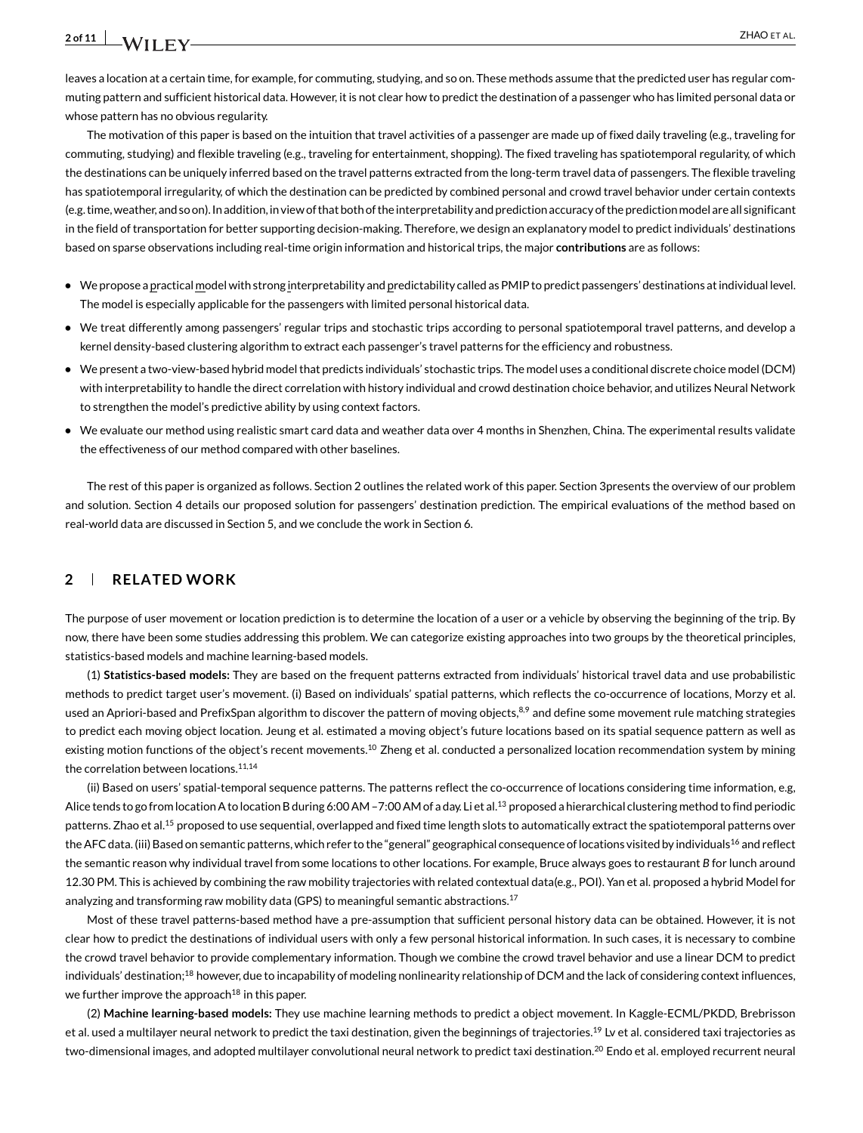leaves a location at a certain time, for example, for commuting, studying, and so on. These methods assume that the predicted user has regular commuting pattern and sufficient historical data. However, it is not clear how to predict the destination of a passenger who has limited personal data or whose pattern has no obvious regularity.

The motivation of this paper is based on the intuition that travel activities of a passenger are made up of fixed daily traveling (e.g., traveling for commuting, studying) and flexible traveling (e.g., traveling for entertainment, shopping). The fixed traveling has spatiotemporal regularity, of which the destinations can be uniquely inferred based on the travel patterns extracted from the long-term travel data of passengers. The flexible traveling has spatiotemporal irregularity, of which the destination can be predicted by combined personal and crowd travel behavior under certain contexts (e.g. time, weather, and so on). In addition, in view of that both of the interpretability and prediction accuracy of the prediction model are all significant in the field of transportation for better supporting decision-making. Therefore, we design an explanatory model to predict individuals' destinations based on sparse observations including real-time origin information and historical trips, the major **contributions** are as follows:

- **•** We propose a practical model with strong interpretability and predictability called as PMIP to predict passengers' destinations at individual level. The model is especially applicable for the passengers with limited personal historical data.
- We treat differently among passengers' regular trips and stochastic trips according to personal spatiotemporal travel patterns, and develop a kernel density-based clustering algorithm to extract each passenger's travel patterns for the efficiency and robustness.
- **•** We present a two-view-based hybrid model that predicts individuals' stochastic trips. The model uses a conditional discrete choice model (DCM) with interpretability to handle the direct correlation with history individual and crowd destination choice behavior, and utilizes Neural Network to strengthen the model's predictive ability by using context factors.
- **•** We evaluate our method using realistic smart card data and weather data over 4 months in Shenzhen, China. The experimental results validate the effectiveness of our method compared with other baselines.

The rest of this paper is organized as follows. Section 2 outlines the related work of this paper. Section 3presents the overview of our problem and solution. Section 4 details our proposed solution for passengers' destination prediction. The empirical evaluations of the method based on real-world data are discussed in Section 5, and we conclude the work in Section 6.

#### **2 RELATED WORK**

The purpose of user movement or location prediction is to determine the location of a user or a vehicle by observing the beginning of the trip. By now, there have been some studies addressing this problem. We can categorize existing approaches into two groups by the theoretical principles, statistics-based models and machine learning-based models.

(1) **Statistics-based models:** They are based on the frequent patterns extracted from individuals' historical travel data and use probabilistic methods to predict target user's movement. (i) Based on individuals' spatial patterns, which reflects the co-occurrence of locations, Morzy et al. used an Apriori-based and PrefixSpan algorithm to discover the pattern of moving objects,<sup>8,9</sup> and define some movement rule matching strategies to predict each moving object location. Jeung et al. estimated a moving object's future locations based on its spatial sequence pattern as well as existing motion functions of the object's recent movements.<sup>10</sup> Zheng et al. conducted a personalized location recommendation system by mining the correlation between locations.<sup>11,14</sup>

(ii) Based on users' spatial-temporal sequence patterns. The patterns reflect the co-occurrence of locations considering time information, e.g, Alice tends to go from location A to location B during 6:00 AM –7:00 AM of a day. Li et al.<sup>13</sup> proposed a hierarchical clustering method to find periodic patterns. Zhao et al.<sup>15</sup> proposed to use sequential, overlapped and fixed time length slots to automatically extract the spatiotemporal patterns over the AFC data. (iii) Based on semantic patterns, which refer to the "general" geographical consequence of locations visited by individuals<sup>16</sup> and reflect the semantic reason why individual travel from some locations to other locations. For example, Bruce always goes to restaurant *B* for lunch around 12.30 PM. This is achieved by combining the raw mobility trajectories with related contextual data(e.g., POI). Yan et al. proposed a hybrid Model for analyzing and transforming raw mobility data (GPS) to meaningful semantic abstractions.<sup>17</sup>

Most of these travel patterns-based method have a pre-assumption that sufficient personal history data can be obtained. However, it is not clear how to predict the destinations of individual users with only a few personal historical information. In such cases, it is necessary to combine the crowd travel behavior to provide complementary information. Though we combine the crowd travel behavior and use a linear DCM to predict individuals' destination;<sup>18</sup> however, due to incapability of modeling nonlinearity relationship of DCM and the lack of considering context influences, we further improve the approach $^{18}$  in this paper.

(2) **Machine learning-based models:** They use machine learning methods to predict a object movement. In Kaggle-ECML/PKDD, Brebrisson et al. used a multilayer neural network to predict the taxi destination, given the beginnings of trajectories.<sup>19</sup> Lv et al. considered taxi trajectories as two-dimensional images, and adopted multilayer convolutional neural network to predict taxi destination.<sup>20</sup> Endo et al. employed recurrent neural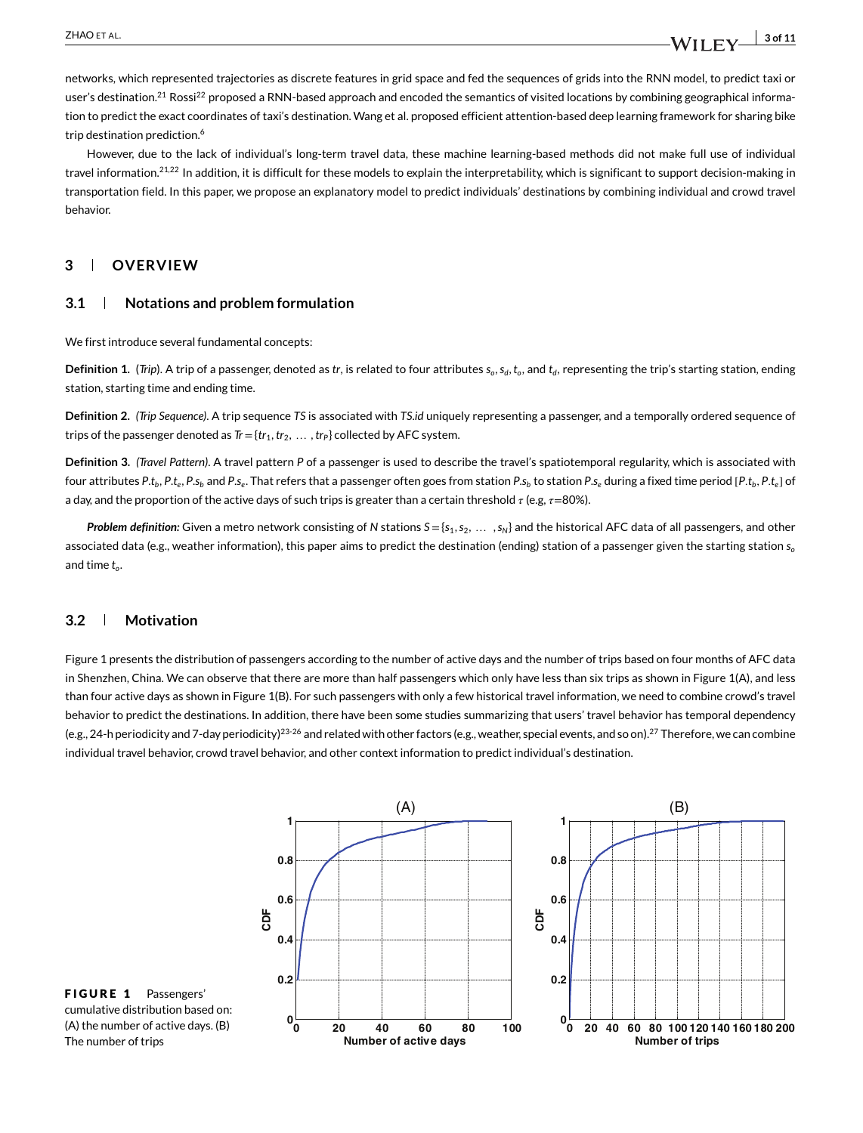networks, which represented trajectories as discrete features in grid space and fed the sequences of grids into the RNN model, to predict taxi or user's destination.<sup>21</sup> Rossi<sup>22</sup> proposed a RNN-based approach and encoded the semantics of visited locations by combining geographical information to predict the exact coordinates of taxi's destination. Wang et al. proposed efficient attention-based deep learning framework for sharing bike trip destination prediction.<sup>6</sup>

However, due to the lack of individual's long-term travel data, these machine learning-based methods did not make full use of individual travel information.<sup>21,22</sup> In addition, it is difficult for these models to explain the interpretability, which is significant to support decision-making in transportation field. In this paper, we propose an explanatory model to predict individuals' destinations by combining individual and crowd travel behavior.

#### **3 OVERVIEW**

#### **3.1 Notations and problem formulation**

We first introduce several fundamental concepts:

**Definition 1.** (*Trip*). A trip of a passenger, denoted as *tr*, is related to four attributes  $s_o$ ,  $s_d$ ,  $t_o$ , and  $t_d$ , representing the trip's starting station, ending station, starting time and ending time.

**Definition 2.** *(Trip Sequence)*. A trip sequence *TS* is associated with *TS*.*id* uniquely representing a passenger, and a temporally ordered sequence of trips of the passenger denoted as  $\overline{T} = \{tr_1, tr_2, \ldots, tr_p\}$  collected by AFC system.

**Definition 3.** *(Travel Pattern)*. A travel pattern *P* of a passenger is used to describe the travel's spatiotemporal regularity, which is associated with four attributes P.t<sub>b</sub>, P.t<sub>e</sub>, P.s<sub>b</sub> and P.s<sub>e</sub>. That refers that a passenger often goes from station P.s<sub>b</sub> to station P.s<sub>e</sub> during a fixed time period [P.t<sub>b</sub>, P.t<sub>e</sub>] of a day, and the proportion of the active days of such trips is greater than a certain threshold  $\tau$  (e.g,  $\tau$ =80%).

*Problem definition:* Given a metro network consisting of *N* stations  $S = \{s_1, s_2, \ldots, s_N\}$  and the historical AFC data of all passengers, and other associated data (e.g., weather information), this paper aims to predict the destination (ending) station of a passenger given the starting station *so* and time *to*.

#### **3.2 Motivation**

Figure 1 presents the distribution of passengers according to the number of active days and the number of trips based on four months of AFC data in Shenzhen, China. We can observe that there are more than half passengers which only have less than six trips as shown in Figure 1(A), and less than four active days as shown in Figure 1(B). For such passengers with only a few historical travel information, we need to combine crowd's travel behavior to predict the destinations. In addition, there have been some studies summarizing that users' travel behavior has temporal dependency (e.g., 24-h periodicity and 7-day periodicity)<sup>23-26</sup> and related with other factors (e.g., weather, special events, and so on).<sup>27</sup> Therefore, we can combine individual travel behavior, crowd travel behavior, and other context information to predict individual's destination.



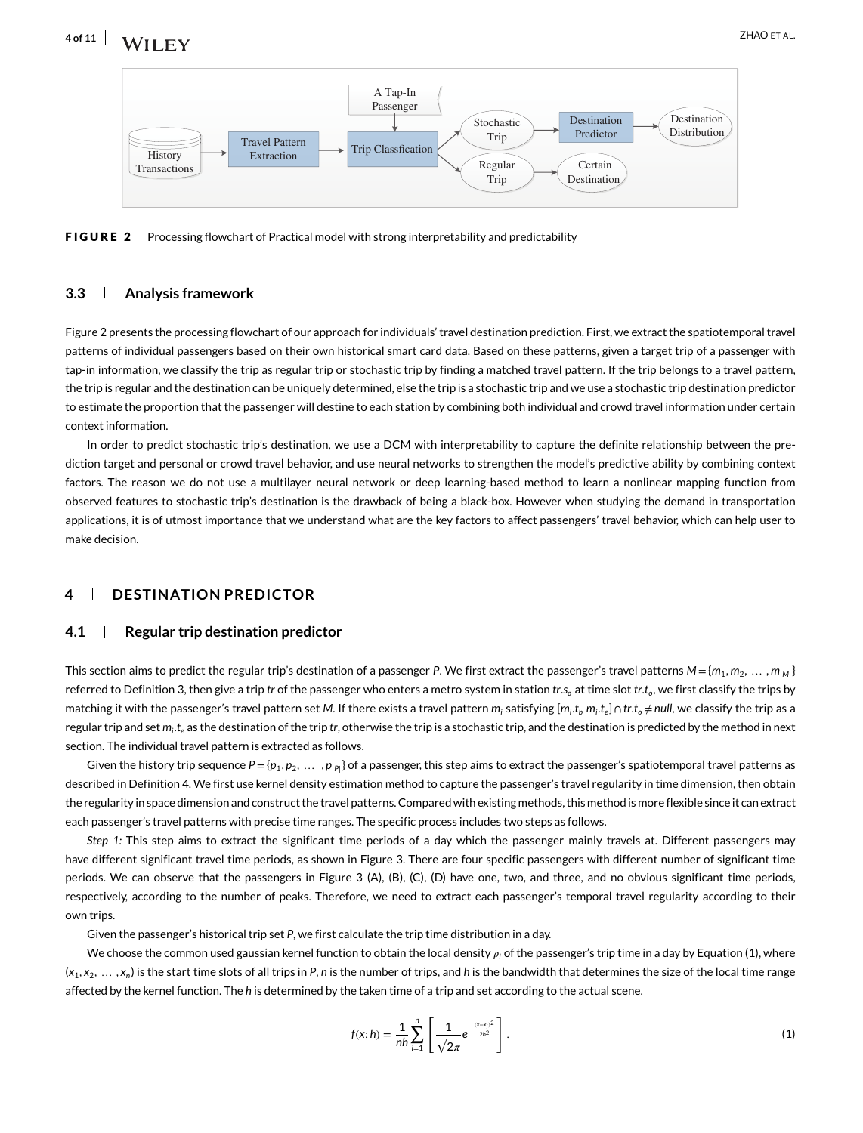

FIGURE 2 Processing flowchart of Practical model with strong interpretability and predictability

#### **3.3 Analysis framework**

Figure 2 presents the processing flowchart of our approach for individuals' travel destination prediction. First, we extract the spatiotemporal travel patterns of individual passengers based on their own historical smart card data. Based on these patterns, given a target trip of a passenger with tap-in information, we classify the trip as regular trip or stochastic trip by finding a matched travel pattern. If the trip belongs to a travel pattern, the trip is regular and the destination can be uniquely determined, else the trip is a stochastic trip and we use a stochastic trip destination predictor to estimate the proportion that the passenger will destine to each station by combining both individual and crowd travel information under certain context information.

In order to predict stochastic trip's destination, we use a DCM with interpretability to capture the definite relationship between the prediction target and personal or crowd travel behavior, and use neural networks to strengthen the model's predictive ability by combining context factors. The reason we do not use a multilayer neural network or deep learning-based method to learn a nonlinear mapping function from observed features to stochastic trip's destination is the drawback of being a black-box. However when studying the demand in transportation applications, it is of utmost importance that we understand what are the key factors to affect passengers' travel behavior, which can help user to make decision.

#### **4 DESTINATION PREDICTOR**

#### **4.1 Regular trip destination predictor**

This section aims to predict the regular trip's destination of a passenger P. We first extract the passenger's travel patterns  $M = \{m_1, m_2, \ldots, m_{M}\}$ referred to Definition 3, then give a trip *tr* of the passenger who enters a metro system in station *tr*.*s*<sub>o</sub> at time slot *tr*.*t<sub>o</sub>*, we first classify the trips by matching it with the passenger's travel pattern set *M*. If there exists a travel pattern  $m_i$  satisfying  $[m_i, t_b, m_i, t_e] \cap tr.t_o \neq null$ , we classify the trip as a regular trip and set *mi*.*te* as the destination of the trip *tr*, otherwise the trip is a stochastic trip, and the destination is predicted by the method in next section. The individual travel pattern is extracted as follows.

Given the history trip sequence  $P = \{p_1, p_2, \ldots, p_{|P|}\}$  of a passenger, this step aims to extract the passenger's spatiotemporal travel patterns as described in Definition 4. We first use kernel density estimation method to capture the passenger's travel regularity in time dimension, then obtain the regularity in space dimension and construct the travel patterns. Compared with existing methods, this method is more flexible since it can extract each passenger's travel patterns with precise time ranges. The specific process includes two steps as follows.

*Step 1:* This step aims to extract the significant time periods of a day which the passenger mainly travels at. Different passengers may have different significant travel time periods, as shown in Figure 3. There are four specific passengers with different number of significant time periods. We can observe that the passengers in Figure 3 (A), (B), (C), (D) have one, two, and three, and no obvious significant time periods, respectively, according to the number of peaks. Therefore, we need to extract each passenger's temporal travel regularity according to their own trips.

Given the passenger's historical trip set *P*, we first calculate the trip time distribution in a day.

We choose the common used gaussian kernel function to obtain the local density  $\rho_i$  of the passenger's trip time in a day by Equation (1), where  $(x_1, x_2, \ldots, x_n)$  is the start time slots of all trips in *P*, *n* is the number of trips, and *h* is the bandwidth that determines the size of the local time range affected by the kernel function. The *h* is determined by the taken time of a trip and set according to the actual scene.

$$
f(x; h) = \frac{1}{nh} \sum_{i=1}^{n} \left[ \frac{1}{\sqrt{2\pi}} e^{-\frac{(x-x_i)^2}{2h^2}} \right].
$$
 (1)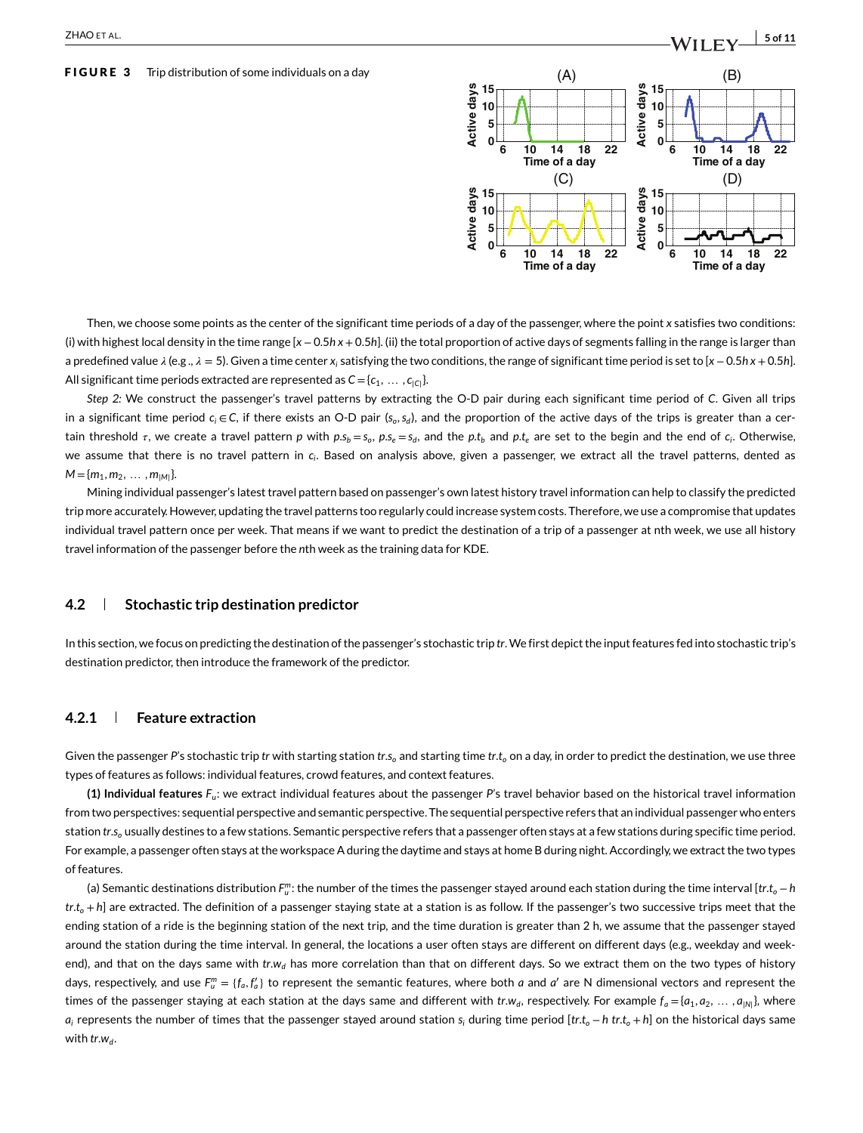#### FIGURE 3 Trip distribution of some individuals on a day



Then, we choose some points as the center of the significant time periods of a day of the passenger, where the point *x* satisfies two conditions: (i) with highest local density in the time range [*x*−0.5*h x* +0.5*h*]. (ii) the total proportion of active days of segments falling in the range is larger than a predefined value  $\lambda$  (e.g.,  $\lambda$  = 5). Given a time center  $x_i$  satisfying the two conditions, the range of significant time period is set to [*x* − 0.5*h x* + 0.5*h*]. All significant time periods extracted are represented as  $C = \{c_1, \ldots, c_{|C|}\}.$ 

*Step 2:* We construct the passenger's travel patterns by extracting the O-D pair during each significant time period of *C*. Given all trips in a significant time period *ci* ∈*C*, if there exists an O-D pair (*so*,*sd*), and the proportion of the active days of the trips is greater than a certain threshold  $\tau$ , we create a travel pattern p with  $p.s_b = s_o$ ,  $p.s_e = s_d$ , and the p.t<sub>b</sub> and p.t<sub>e</sub> are set to the begin and the end of  $c_i$ . Otherwise, we assume that there is no travel pattern in *ci*. Based on analysis above, given a passenger, we extract all the travel patterns, dented as  $M = \{m_1, m_2, \ldots, m_{|M|}\}.$ 

Mining individual passenger's latest travel pattern based on passenger's own latest history travel information can help to classify the predicted trip more accurately. However, updating the travel patterns too regularly could increase system costs. Therefore, we use a compromise that updates individual travel pattern once per week. That means if we want to predict the destination of a trip of a passenger at nth week, we use all history travel information of the passenger before the *n*th week as the training data for KDE.

#### **4.2 Stochastic trip destination predictor**

In this section, we focus on predicting the destination of the passenger's stochastic trip *tr*.We first depict the input features fed into stochastic trip's destination predictor, then introduce the framework of the predictor.

#### **4.2.1 Feature extraction**

Given the passenger P's stochastic trip *tr* with starting station *tr.s*<sub>o</sub> and starting time *tr.t*<sub>o</sub> on a day, in order to predict the destination, we use three types of features as follows: individual features, crowd features, and context features.

**(1) Individual features** *Fu*: we extract individual features about the passenger *P*'s travel behavior based on the historical travel information from two perspectives: sequential perspective and semantic perspective. The sequential perspective refers that an individual passenger who enters station *tr.s<sub>o</sub>* usually destines to a few stations. Semantic perspective refers that a passenger often stays at a few stations during specific time period. For example, a passenger often stays at the workspace A during the daytime and stays at home B during night. Accordingly, we extract the two types of features.

(a) Semantic destinations distribution Fm, the number of the times the passenger stayed around each station during the time interval [*tr.t<sub>o</sub> − h*  $tr.t<sub>o</sub> + h$ ] are extracted. The definition of a passenger staying state at a station is as follow. If the passenger's two successive trips meet that the ending station of a ride is the beginning station of the next trip, and the time duration is greater than 2 h, we assume that the passenger stayed around the station during the time interval. In general, the locations a user often stays are different on different days (e.g., weekday and weekend), and that on the days same with *tr.w<sub>d</sub>* has more correlation than that on different days. So we extract them on the two types of history days, respectively, and use  $F_u^m=\{f_a,f'_a\}$  to represent the semantic features, where both  $a$  and  $a'$  are N dimensional vectors and represent the times of the passenger staying at each station at the days same and different with *tr*.*w<sub>d</sub>*, respectively. For example  $f_a = \{a_1, a_2, \ldots, a_{|N|}\}$ , where *ai* represents the number of times that the passenger stayed around station *si* during time period [*tr*.*to* −*h tr*.*to* +*h*] on the historical days same with *tr*.*w*<sub>d</sub>.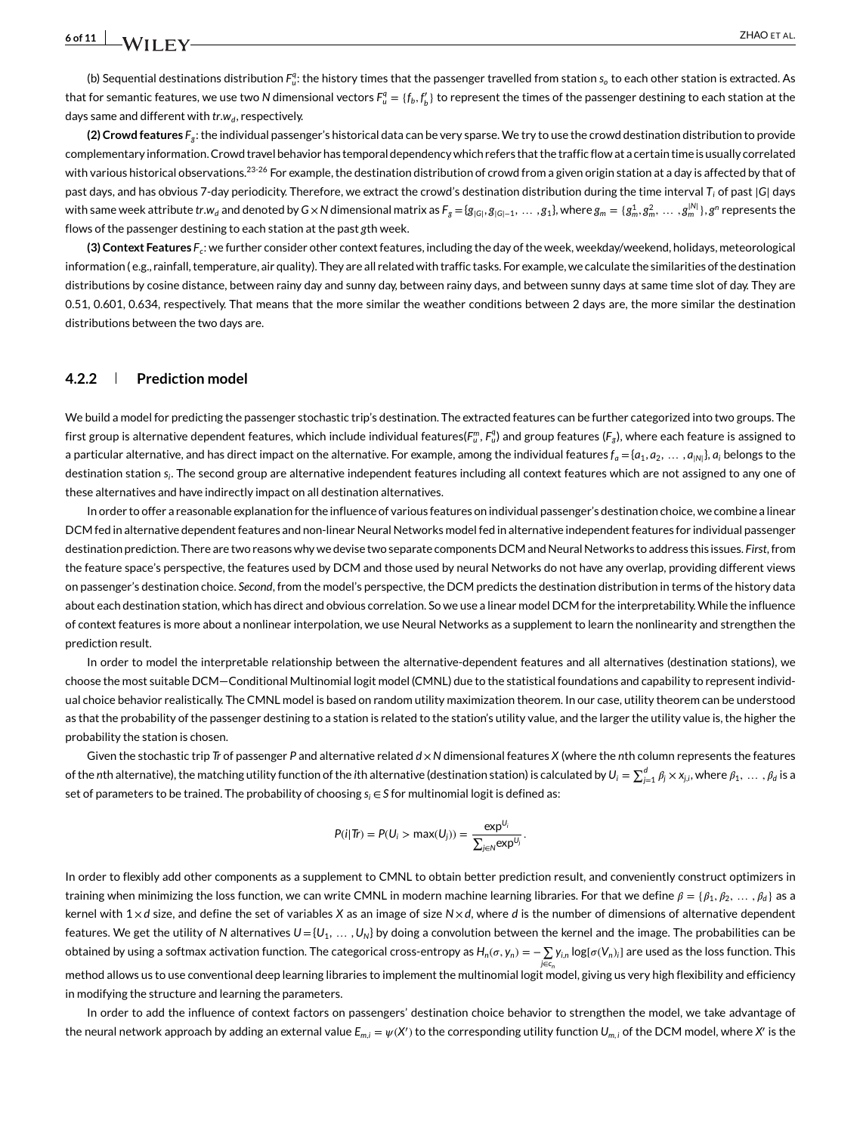(b) Sequential destinations distribution  $F^q_u$ : the history times that the passenger travelled from station  $s_o$  to each other station is extracted. As that for semantic features, we use two N dimensional vectors  $F_u^q=\{f_b,f'_b\}$  to represent the times of the passenger destining to each station at the days same and different with *tr*.*w<sub>d</sub>*, respectively.

**(2) Crowd features** *Fg*: the individual passenger's historical data can be very sparse. We try to use the crowd destination distribution to provide complementary information. Crowd travel behavior has temporal dependency which refers that the traffic flow at a certain time is usually correlated with various historical observations.<sup>23-26</sup> For example, the destination distribution of crowd from a given origin station at a day is affected by that of past days, and has obvious 7-day periodicity. Therefore, we extract the crowd's destination distribution during the time interval *Ti* of past <sup>|</sup>*G*<sup>|</sup> days with same week attribute tr.w<sub>d</sub> and denoted by G x N dimensional matrix as  $F_g = \{g_{|G|}, g_{|G|-1}, \ldots, g_1\}$ , where  $g_m = \{g_m^1, g_m^2, \ldots, g_m^{|N|}\}, g^n$  represents the flows of the passenger destining to each station at the past *g*th week.

**(3) Context Features** *Fc*: we further consider other context features, including the day of the week, weekday/weekend, holidays, meteorological information ( e.g., rainfall, temperature, air quality). They are all related with traffic tasks. For example, we calculate the similarities of the destination distributions by cosine distance, between rainy day and sunny day, between rainy days, and between sunny days at same time slot of day. They are 0.51, 0.601, 0.634, respectively. That means that the more similar the weather conditions between 2 days are, the more similar the destination distributions between the two days are.

#### **4.2.2 Prediction model**

We build a model for predicting the passenger stochastic trip's destination. The extracted features can be further categorized into two groups. The first group is alternative dependent features, which include individual features( $F_u^m$ ,  $F_u^q$ ) and group features ( $F_g$ ), where each feature is assigned to a particular alternative, and has direct impact on the alternative. For example, among the individual features  $f_a = \{a_1, a_2, \ldots, a_{|N|}\}, a_i$  belongs to the destination station *si*. The second group are alternative independent features including all context features which are not assigned to any one of these alternatives and have indirectly impact on all destination alternatives.

In order to offer a reasonable explanation for the influence of various features on individual passenger's destination choice, we combine a linear DCM fed in alternative dependent features and non-linear Neural Networks model fed in alternative independent features for individual passenger destination prediction. There are two reasons why we devise two separate components DCM and Neural Networks to address this issues. *First*, from the feature space's perspective, the features used by DCM and those used by neural Networks do not have any overlap, providing different views on passenger's destination choice. *Second*, from the model's perspective, the DCM predicts the destination distribution in terms of the history data about each destination station, which has direct and obvious correlation. So we use a linear model DCM for the interpretability.While the influence of context features is more about a nonlinear interpolation, we use Neural Networks as a supplement to learn the nonlinearity and strengthen the prediction result.

In order to model the interpretable relationship between the alternative-dependent features and all alternatives (destination stations), we choose the most suitable DCM—Conditional Multinomial logit model (CMNL) due to the statistical foundations and capability to represent individual choice behavior realistically. The CMNL model is based on random utility maximization theorem. In our case, utility theorem can be understood as that the probability of the passenger destining to a station is related to the station's utility value, and the larger the utility value is, the higher the probability the station is chosen.

Given the stochastic trip *Tr* of passenger *P* and alternative related *d* ×*N* dimensional features *X* (where the *n*th column represents the features of the nth alternative), the matching utility function of the ith alternative (destination station) is calculated by  $U_i=\sum_{j=1}^d\beta_j\times x_{j,i}$ , where  $\beta_1,\,\ldots\,,\beta_d$  is a set of parameters to be trained. The probability of choosing *si* ∈*S* for multinomial logit is defined as:

$$
P(i|Tr) = P(U_i > \max(U_j)) = \frac{\exp^{U_i}}{\sum_{j \in N} \exp^{U_j}}.
$$

In order to flexibly add other components as a supplement to CMNL to obtain better prediction result, and conveniently construct optimizers in training when minimizing the loss function, we can write CMNL in modern machine learning libraries. For that we define  $\beta = \{\beta_1, \beta_2, \dots, \beta_d\}$  as a kernel with 1 × *d* size, and define the set of variables *X* as an image of size *N*× *d*, where *d* is the number of dimensions of alternative dependent features. We get the utility of *N* alternatives  $U = \{U_1, \ldots, U_N\}$  by doing a convolution between the kernel and the image. The probabilities can be  $\delta$ obtained by using a softmax activation function. The categorical cross-entropy as  $H_n(\sigma,y_n)=-\sum y_{i,n}\log[\sigma(V_n)_i]$  are used as the loss function. This *j*∈*cn* method allows us to use conventional deep learning libraries to implement the multinomial logit model, giving us very high flexibility and efficiency in modifying the structure and learning the parameters.

In order to add the influence of context factors on passengers' destination choice behavior to strengthen the model, we take advantage of the neural network approach by adding an external value  $E_{m,i}=\psi(X')$  to the corresponding utility function  $U_{m,i}$  of the DCM model, where  $X'$  is the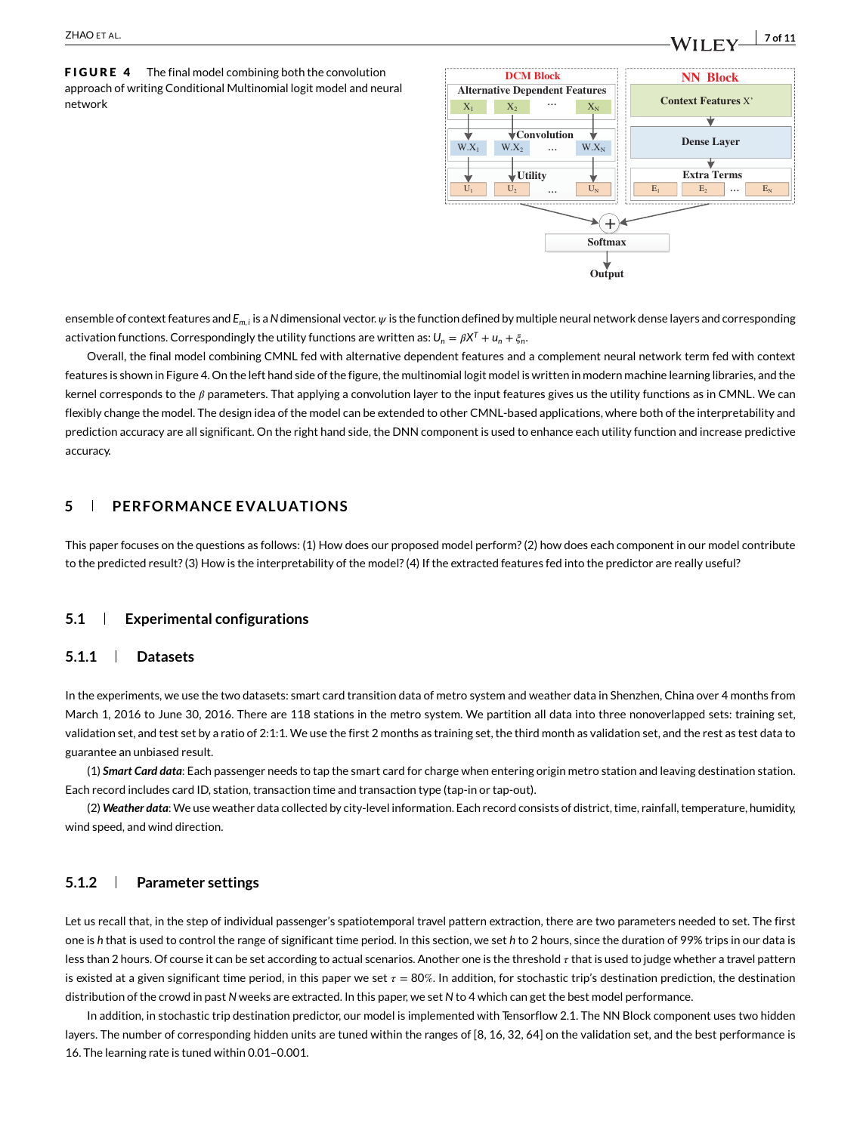# $\frac{1}{2}$  **ZHAO** ET AL.  $\frac{1}{2}$  of 11

FIGURE 4 The final model combining both the convolution approach of writing Conditional Multinomial logit model and neural network  $X_1 \cup X_2 \cup \cdots \cup X_N$ 



ensemble of context features and  $E_{m,i}$  is a N dimensional vector.  $\psi$  is the function defined by multiple neural network dense layers and corresponding activation functions. Correspondingly the utility functions are written as:  $U_n = \beta X^T + u_n + \xi_n$ .

Overall, the final model combining CMNL fed with alternative dependent features and a complement neural network term fed with context features is shown in Figure 4. On the left hand side of the figure, the multinomial logit model is written in modern machine learning libraries, and the kernel corresponds to the  $\beta$  parameters. That applying a convolution layer to the input features gives us the utility functions as in CMNL. We can flexibly change the model. The design idea of the model can be extended to other CMNL-based applications, where both of the interpretability and prediction accuracy are all significant. On the right hand side, the DNN component is used to enhance each utility function and increase predictive accuracy.

#### **5 PERFORMANCE EVALUATIONS**

This paper focuses on the questions as follows: (1) How does our proposed model perform? (2) how does each component in our model contribute to the predicted result? (3) How is the interpretability of the model? (4) If the extracted features fed into the predictor are really useful?

#### **5.1 Experimental configurations**

#### **5.1.1 Datasets**

In the experiments, we use the two datasets: smart card transition data of metro system and weather data in Shenzhen, China over 4 months from March 1, 2016 to June 30, 2016. There are 118 stations in the metro system. We partition all data into three nonoverlapped sets: training set, validation set, and test set by a ratio of 2:1:1. We use the first 2 months as training set, the third month as validation set, and the rest as test data to guarantee an unbiased result.

(1) *Smart Card data*: Each passenger needs to tap the smart card for charge when entering origin metro station and leaving destination station. Each record includes card ID, station, transaction time and transaction type (tap-in or tap-out).

(2) *Weather data*: We use weather data collected by city-level information. Each record consists of district, time, rainfall, temperature, humidity, wind speed, and wind direction.

#### **5.1.2 Parameter settings**

Let us recall that, in the step of individual passenger's spatiotemporal travel pattern extraction, there are two parameters needed to set. The first one is *h* that is used to control the range of significant time period. In this section, we set *h* to 2 hours, since the duration of 99% trips in our data is less than 2 hours. Of course it can be set according to actual scenarios. Another one is the threshold  $\tau$  that is used to judge whether a travel pattern is existed at a given significant time period, in this paper we set  $\tau = 80\%$ . In addition, for stochastic trip's destination prediction, the destination distribution of the crowd in past *N* weeks are extracted. In this paper, we set *N* to 4 which can get the best model performance.

In addition, in stochastic trip destination predictor, our model is implemented with Tensorflow 2.1. The NN Block component uses two hidden layers. The number of corresponding hidden units are tuned within the ranges of [8, 16, 32, 64] on the validation set, and the best performance is 16. The learning rate is tuned within 0.01–0.001.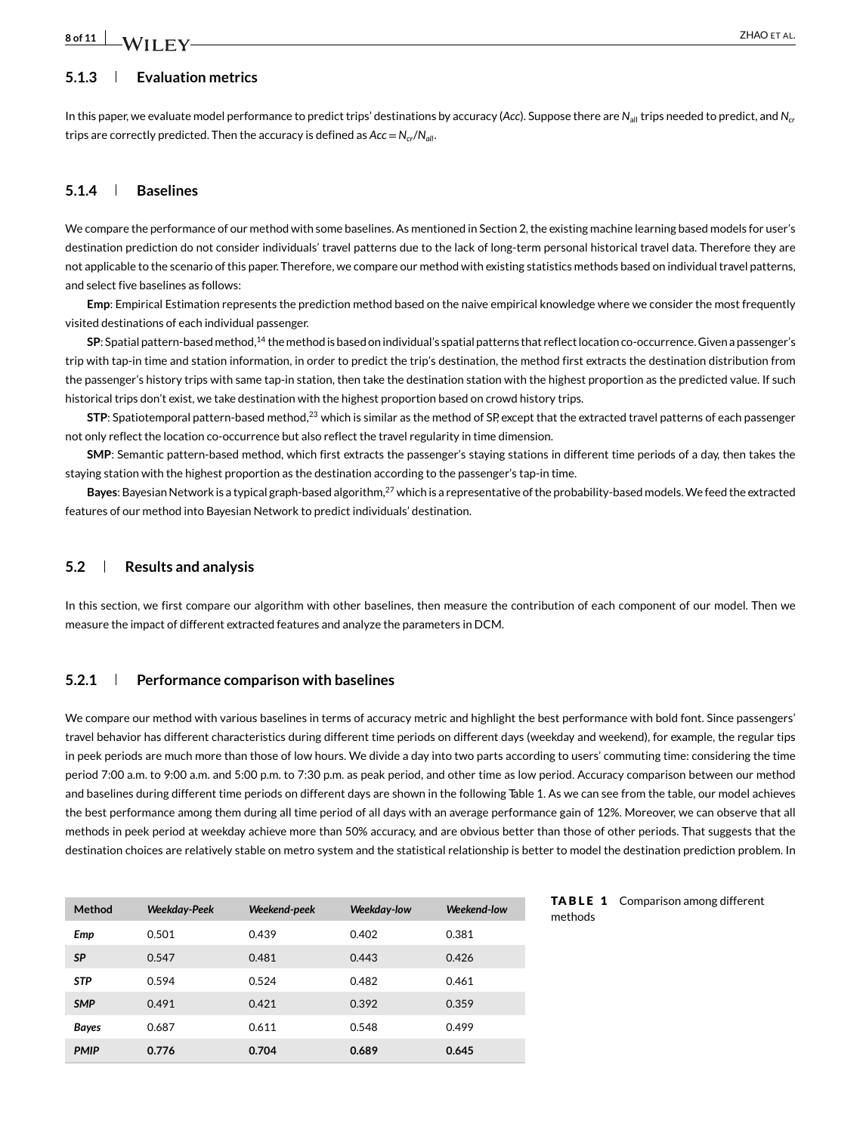## **8 of 11 I A**/II **EV**

#### **5.1.3 Evaluation metrics**

In this paper, we evaluate model performance to predict trips' destinations by accuracy (*Acc*). Suppose there are *N*<sub>all</sub> trips needed to predict, and *N<sub>cr</sub>* trips are correctly predicted. Then the accuracy is defined as *Acc*=*Ncr*/*Nall*.

#### **5.1.4 Baselines**

We compare the performance of our method with some baselines. As mentioned in Section 2, the existing machine learning based models for user's destination prediction do not consider individuals' travel patterns due to the lack of long-term personal historical travel data. Therefore they are not applicable to the scenario of this paper. Therefore, we compare our method with existing statistics methods based on individual travel patterns, and select five baselines as follows:

**Emp**: Empirical Estimation represents the prediction method based on the naive empirical knowledge where we consider the most frequently visited destinations of each individual passenger.

**SP**: Spatial pattern-basedmethod,14 themethod is based on individual's spatial patterns that reflect location co-occurrence. Given a passenger's trip with tap-in time and station information, in order to predict the trip's destination, the method first extracts the destination distribution from the passenger's history trips with same tap-in station, then take the destination station with the highest proportion as the predicted value. If such historical trips don't exist, we take destination with the highest proportion based on crowd history trips.

**STP**: Spatiotemporal pattern-based method,<sup>23</sup> which is similar as the method of SP, except that the extracted travel patterns of each passenger not only reflect the location co-occurrence but also reflect the travel regularity in time dimension.

**SMP**: Semantic pattern-based method, which first extracts the passenger's staying stations in different time periods of a day, then takes the staying station with the highest proportion as the destination according to the passenger's tap-in time.

**Bayes**: Bayesian Network is a typical graph-based algorithm,27 which is a representative of the probability-based models.We feed the extracted features of our method into Bayesian Network to predict individuals' destination.

#### **5.2 Results and analysis**

In this section, we first compare our algorithm with other baselines, then measure the contribution of each component of our model. Then we measure the impact of different extracted features and analyze the parameters in DCM.

#### **5.2.1 Performance comparison with baselines**

We compare our method with various baselines in terms of accuracy metric and highlight the best performance with bold font. Since passengers' travel behavior has different characteristics during different time periods on different days (weekday and weekend), for example, the regular tips in peek periods are much more than those of low hours. We divide a day into two parts according to users' commuting time: considering the time period 7:00 a.m. to 9:00 a.m. and 5:00 p.m. to 7:30 p.m. as peak period, and other time as low period. Accuracy comparison between our method and baselines during different time periods on different days are shown in the following Table 1. As we can see from the table, our model achieves the best performance among them during all time period of all days with an average performance gain of 12%. Moreover, we can observe that all methods in peek period at weekday achieve more than 50% accuracy, and are obvious better than those of other periods. That suggests that the destination choices are relatively stable on metro system and the statistical relationship is better to model the destination prediction problem. In

| Method       | <b>Weekday-Peek</b> | Weekend-peek   | Weekday-low | Weekend-low |
|--------------|---------------------|----------------|-------------|-------------|
| Emp          | 0.501               | 0.439          | 0.402       | 0.381       |
| SP           | 0.547               | 0.481<br>0.443 |             | 0.426       |
| <b>STP</b>   | 0.594               | 0.524          | 0.482       | 0.461       |
| <b>SMP</b>   | 0.491               | 0.421          | 0.392       | 0.359       |
| <b>Bayes</b> | 0.687               | 0.611          | 0.548       | 0.499       |
| <b>PMIP</b>  | 0.776               | 0.704          | 0.689       | 0.645       |

TABLE 1 Comparison among different methods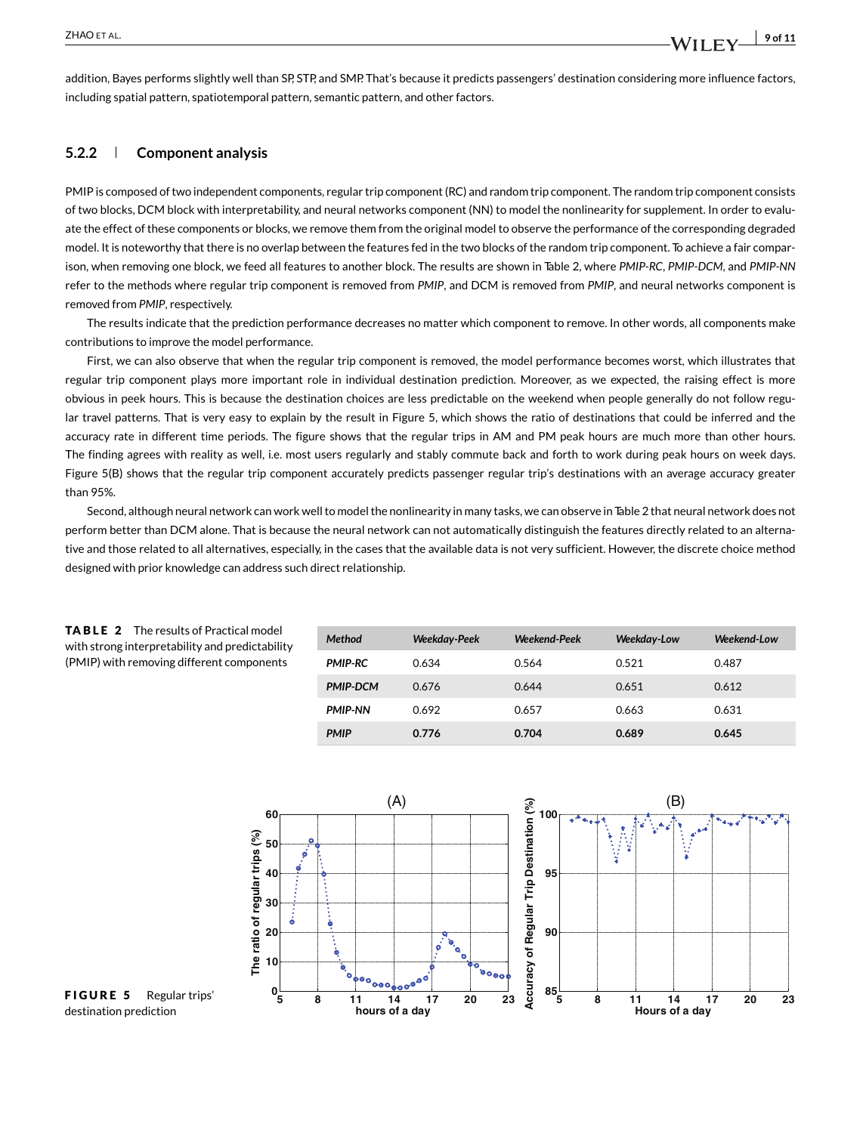addition, Bayes performs slightly well than SP, STP, and SMP. That's because it predicts passengers' destination considering more influence factors, including spatial pattern, spatiotemporal pattern, semantic pattern, and other factors.

#### **5.2.2 Component analysis**

PMIP is composed of two independent components, regular trip component (RC) and random trip component. The random trip component consists of two blocks, DCM block with interpretability, and neural networks component (NN) to model the nonlinearity for supplement. In order to evaluate the effect of these components or blocks, we remove them from the original model to observe the performance of the corresponding degraded model. It is noteworthy that there is no overlap between the features fed in the two blocks of the random trip component. To achieve a fair comparison, when removing one block, we feed all features to another block. The results are shown in Table 2, where *PMIP-RC*, *PMIP-DCM*, and *PMIP-NN* refer to the methods where regular trip component is removed from *PMIP*, and DCM is removed from *PMIP*, and neural networks component is removed from *PMIP*, respectively.

The results indicate that the prediction performance decreases no matter which component to remove. In other words, all components make contributions to improve the model performance.

First, we can also observe that when the regular trip component is removed, the model performance becomes worst, which illustrates that regular trip component plays more important role in individual destination prediction. Moreover, as we expected, the raising effect is more obvious in peek hours. This is because the destination choices are less predictable on the weekend when people generally do not follow regular travel patterns. That is very easy to explain by the result in Figure 5, which shows the ratio of destinations that could be inferred and the accuracy rate in different time periods. The figure shows that the regular trips in AM and PM peak hours are much more than other hours. The finding agrees with reality as well, i.e. most users regularly and stably commute back and forth to work during peak hours on week days. Figure 5(B) shows that the regular trip component accurately predicts passenger regular trip's destinations with an average accuracy greater than 95%.

Second, although neural network can work well to model the nonlinearity in many tasks, we can observe in Table 2 that neural network does not perform better than DCM alone. That is because the neural network can not automatically distinguish the features directly related to an alternative and those related to all alternatives, especially, in the cases that the available data is not very sufficient. However, the discrete choice method designed with prior knowledge can address such direct relationship.

| <b>Method</b>   | <b>Weekday-Peek</b> | Weekend-Peek | Weekday-Low | Weekend-Low |
|-----------------|---------------------|--------------|-------------|-------------|
| <b>PMIP-RC</b>  | 0.634               | 0.564        | 0.521       | 0.487       |
| <b>PMIP-DCM</b> | 0.676               | 0.644        | 0.651       | 0.612       |
| <b>PMIP-NN</b>  | 0.692               | 0.657        | 0.663       | 0.631       |
| <b>PMIP</b>     | 0.776               | 0.704        | 0.689       | 0.645       |



#### TABLE 2 The results of Practical model with strong interpretability and predictability (PMIP) with removing different components

FIGURE 5 Regular trips' destination prediction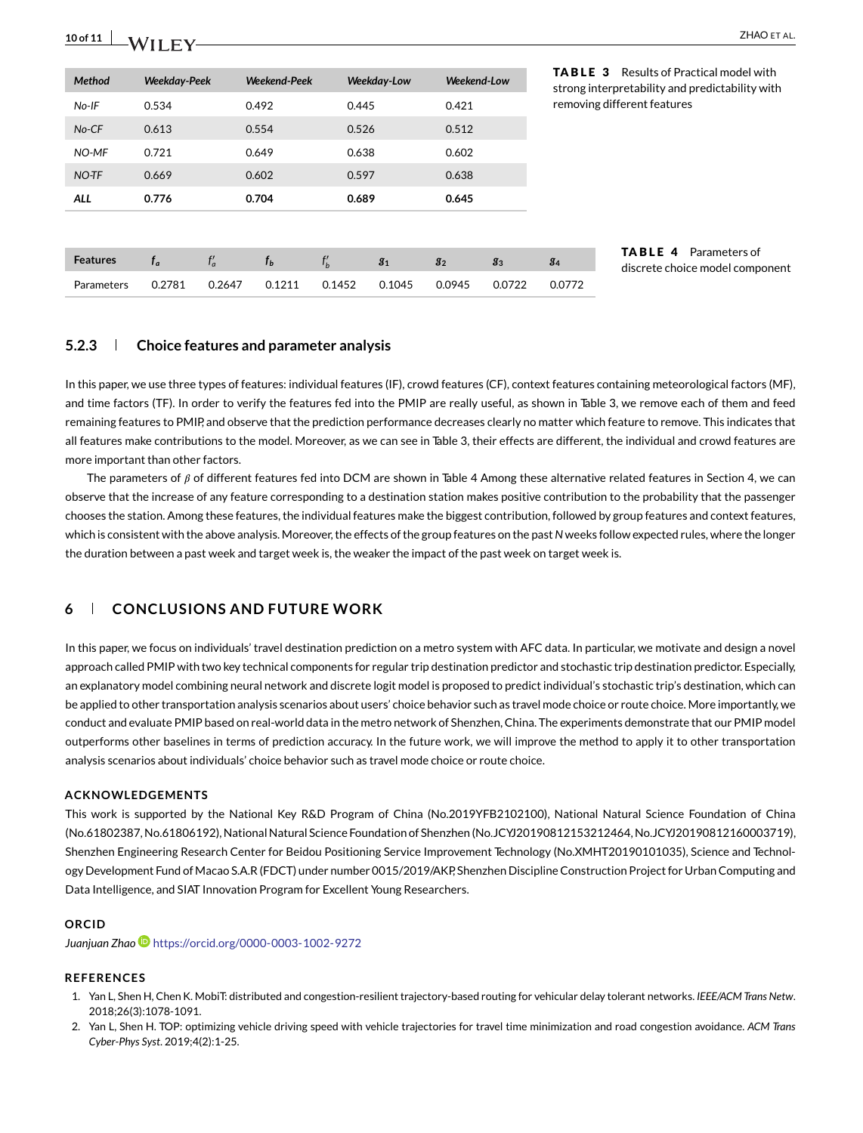| $\frac{10 \text{ of } 11}{10 \text{ of } 11}$ WII FV | ZHAO ET AL                                 |
|------------------------------------------------------|--------------------------------------------|
|                                                      | TABLE 3<br>Results of Practical model with |

| Method          | <b>Weekday-Peek</b> |        | Weekend-Peek |          | Weekday-Low    | Weekend-Low    |        | <b>TABLE 3</b>              | Results of Practical model with<br>strong interpretability and predictability with |  |  |
|-----------------|---------------------|--------|--------------|----------|----------------|----------------|--------|-----------------------------|------------------------------------------------------------------------------------|--|--|
| No-IF           | 0.534               |        | 0.492        | 0.445    |                | 0.421          |        | removing different features |                                                                                    |  |  |
| No-CF           | 0.613               |        | 0.554        | 0.526    |                | 0.512          |        |                             |                                                                                    |  |  |
| NO-MF           | 0.721               |        | 0.649        |          | 0.638          |                | 0.602  |                             |                                                                                    |  |  |
| NO-TF           | 0.669               |        | 0.602        |          | 0.597          |                |        |                             |                                                                                    |  |  |
| <b>ALL</b>      | 0.776               |        | 0.704        | 0.689    |                | 0.645          |        |                             |                                                                                    |  |  |
|                 |                     |        |              |          |                |                |        |                             |                                                                                    |  |  |
| <b>Features</b> | $f_a$               | $f_a'$ | $f_b$        | $f'_{b}$ | g <sub>1</sub> | g <sub>2</sub> | $g_3$  | g <sub>4</sub>              | <b>TABLE 4</b><br>Parameters of                                                    |  |  |
| Parameters      | 0.2781              | 0.2647 | 0.1211       | 0.1452   | 0.1045         | 0.0945         | 0.0722 | 0.0772                      | discrete choice model component                                                    |  |  |

#### **5.2.3 Choice features and parameter analysis**

In this paper, we use three types of features: individual features (IF), crowd features (CF), context features containing meteorological factors (MF), and time factors (TF). In order to verify the features fed into the PMIP are really useful, as shown in Table 3, we remove each of them and feed remaining features to PMIP, and observe that the prediction performance decreases clearly no matter which feature to remove. This indicates that all features make contributions to the model. Moreover, as we can see in Table 3, their effects are different, the individual and crowd features are more important than other factors.

The parameters of  $\beta$  of different features fed into DCM are shown in Table 4 Among these alternative related features in Section 4, we can observe that the increase of any feature corresponding to a destination station makes positive contribution to the probability that the passenger chooses the station. Among these features, the individual features make the biggest contribution, followed by group features and context features, which is consistent with the above analysis. Moreover, the effects of the group features on the past*N* weeks follow expected rules, where the longer the duration between a past week and target week is, the weaker the impact of the past week on target week is.

#### **6 CONCLUSIONS AND FUTURE WORK**

In this paper, we focus on individuals' travel destination prediction on a metro system with AFC data. In particular, we motivate and design a novel approach called PMIP with two key technical components for regular trip destination predictor and stochastic trip destination predictor. Especially, an explanatory model combining neural network and discrete logit model is proposed to predict individual's stochastic trip's destination, which can be applied to other transportation analysis scenarios about users' choice behavior such as travel mode choice or route choice. More importantly, we conduct and evaluate PMIP based on real-world data in the metro network of Shenzhen, China. The experiments demonstrate that our PMIP model outperforms other baselines in terms of prediction accuracy. In the future work, we will improve the method to apply it to other transportation analysis scenarios about individuals' choice behavior such as travel mode choice or route choice.

#### **ACKNOWLEDGEMENTS**

This work is supported by the National Key R&D Program of China (No.2019YFB2102100), National Natural Science Foundation of China (No.61802387, No.61806192), National Natural Science Foundation of Shenzhen (No.JCYJ20190812153212464, No.JCYJ20190812160003719), Shenzhen Engineering Research Center for Beidou Positioning Service Improvement Technology (No.XMHT20190101035), Science and Technology Development Fund of Macao S.A.R (FDCT) under number 0015/2019/AKP, Shenzhen Discipline Construction Project for Urban Computing and Data Intelligence, and SIAT Innovation Program for Excellent Young Researchers.

#### **ORCID**

*Juanjuan Zhao* <https://orcid.org/0000-0003-1002-9272>

#### **REFERENCES**

- 1. Yan L, Shen H, Chen K. MobiT: distributed and congestion-resilient trajectory-based routing for vehicular delay tolerant networks. *IEEE/ACM Trans Netw*. 2018;26(3):1078-1091.
- 2. Yan L, Shen H. TOP: optimizing vehicle driving speed with vehicle trajectories for travel time minimization and road congestion avoidance. *ACM Trans Cyber-Phys Syst*. 2019;4(2):1-25.